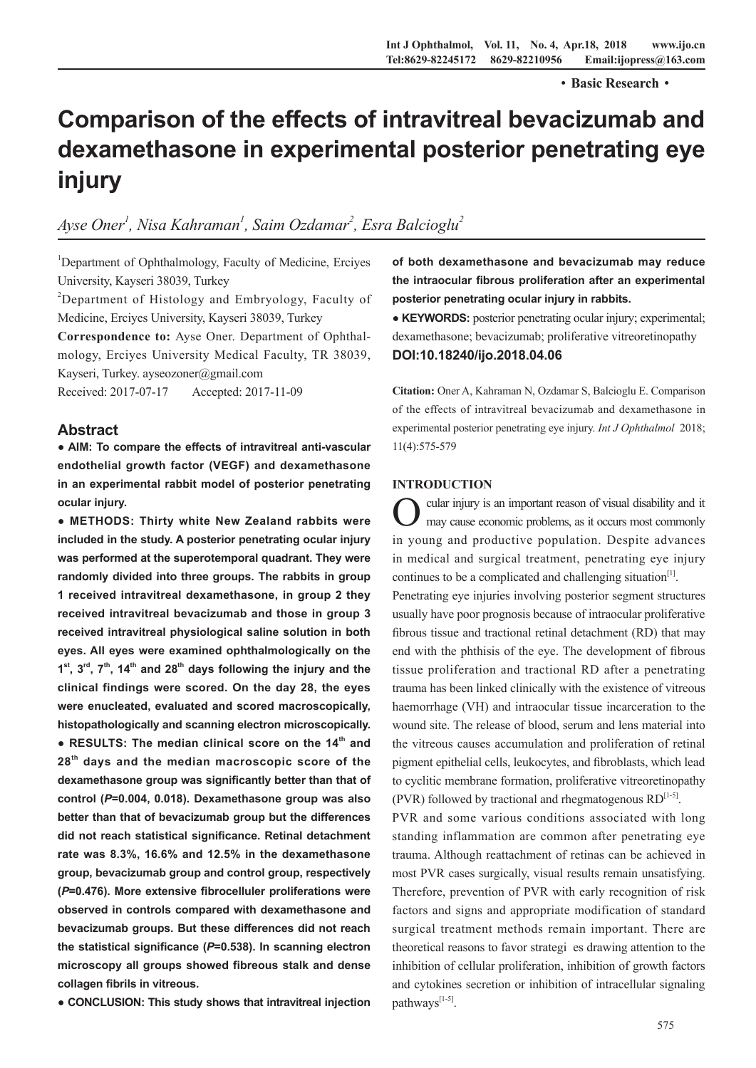·**Basic Research**·

# **Comparison of the effects of intravitreal bevacizumab and dexamethasone in experimental posterior penetrating eye injury**

## Ayse Oner<sup>1</sup>, Nisa Kahraman<sup>1</sup>, Saim Ozdamar<sup>2</sup>, Esra Balcioglu<sup>2</sup>

<sup>1</sup>Department of Ophthalmology, Faculty of Medicine, Erciyes University, Kayseri 38039, Turkey

<sup>2</sup>Department of Histology and Embryology, Faculty of Medicine, Erciyes University, Kayseri 38039, Turkey

**Correspondence to:** Ayse Oner. Department of Ophthalmology, Erciyes University Medical Faculty, TR 38039, Kayseri, Turkey. ayseozoner@gmail.com

Received: 2017-07-17 Accepted: 2017-11-09

### **Abstract**

**● AIM: To compare the effects of intravitreal anti-vascular endothelial growth factor (VEGF) and dexamethasone in an experimental rabbit model of posterior penetrating ocular injury.**

**● METHODS: Thirty white New Zealand rabbits were included in the study. A posterior penetrating ocular injury was performed at the superotemporal quadrant. They were randomly divided into three groups. The rabbits in group 1 received intravitreal dexamethasone, in group 2 they received intravitreal bevacizumab and those in group 3 received intravitreal physiological saline solution in both eyes. All eyes were examined ophthalmologically on the**   $1<sup>st</sup>$ ,  $3<sup>rd</sup>$ ,  $7<sup>th</sup>$ ,  $14<sup>th</sup>$  and  $28<sup>th</sup>$  days following the injury and the **clinical findings were scored. On the day 28, the eyes were enucleated, evaluated and scored macroscopically, histopathologically and scanning electron microscopically. ● RESULTS: The median clinical score on the 14th and 28th days and the median macroscopic score of the dexamethasone group was significantly better than that of control (***P***=0.004, 0.018). Dexamethasone group was also better than that of bevacizumab group but the differences did not reach statistical significance. Retinal detachment rate was 8.3%, 16.6% and 12.5% in the dexamethasone group, bevacizumab group and control group, respectively (***P***=0.476). More extensive fibrocelluler proliferations were observed in controls compared with dexamethasone and bevacizumab groups. But these differences did not reach the statistical significance (***P***=0.538). In scanning electron microscopy all groups showed fibreous stalk and dense collagen fibrils in vitreous.** 

**● CONCLUSION: This study shows that intravitreal injection** 

**of both dexamethasone and bevacizumab may reduce the intraocular fibrous proliferation after an experimental posterior penetrating ocular injury in rabbits.** 

**● KEYWORDS:** posterior penetrating ocular injury; experimental; dexamethasone; bevacizumab; proliferative vitreoretinopathy **DOI:10.18240/ijo.2018.04.06**

**Citation:** Oner A, Kahraman N, Ozdamar S, Balcioglu E. Comparison of the effects of intravitreal bevacizumab and dexamethasone in experimental posterior penetrating eye injury. *Int J Ophthalmol* 2018; 11(4):575-579

#### **INTRODUCTION**

Ocular injury is an important reason of visual disability and it may cause economic problems, as it occurs most commonly in young and productive population. Despite advances in medical and surgical treatment, penetrating eye injury continues to be a complicated and challenging situation $[1]$ .

Penetrating eye injuries involving posterior segment structures usually have poor prognosis because of intraocular proliferative fibrous tissue and tractional retinal detachment (RD) that may end with the phthisis of the eye. The development of fibrous tissue proliferation and tractional RD after a penetrating trauma has been linked clinically with the existence of vitreous haemorrhage (VH) and intraocular tissue incarceration to the wound site. The release of blood, serum and lens material into the vitreous causes accumulation and proliferation of retinal pigment epithelial cells, leukocytes, and fibroblasts, which lead to cyclitic membrane formation, proliferative vitreoretinopathy (PVR) followed by tractional and rhegmatogenous  $RD^{[1-5]}$ .

PVR and some various conditions associated with long standing inflammation are common after penetrating eye trauma. Although reattachment of retinas can be achieved in most PVR cases surgically, visual results remain unsatisfying. Therefore, prevention of PVR with early recognition of risk factors and signs and appropriate modification of standard surgical treatment methods remain important. There are theoretical reasons to favor strategi es drawing attention to the inhibition of cellular proliferation, inhibition of growth factors and cytokines secretion or inhibition of intracellular signaling pathways<sup>[1-5]</sup>.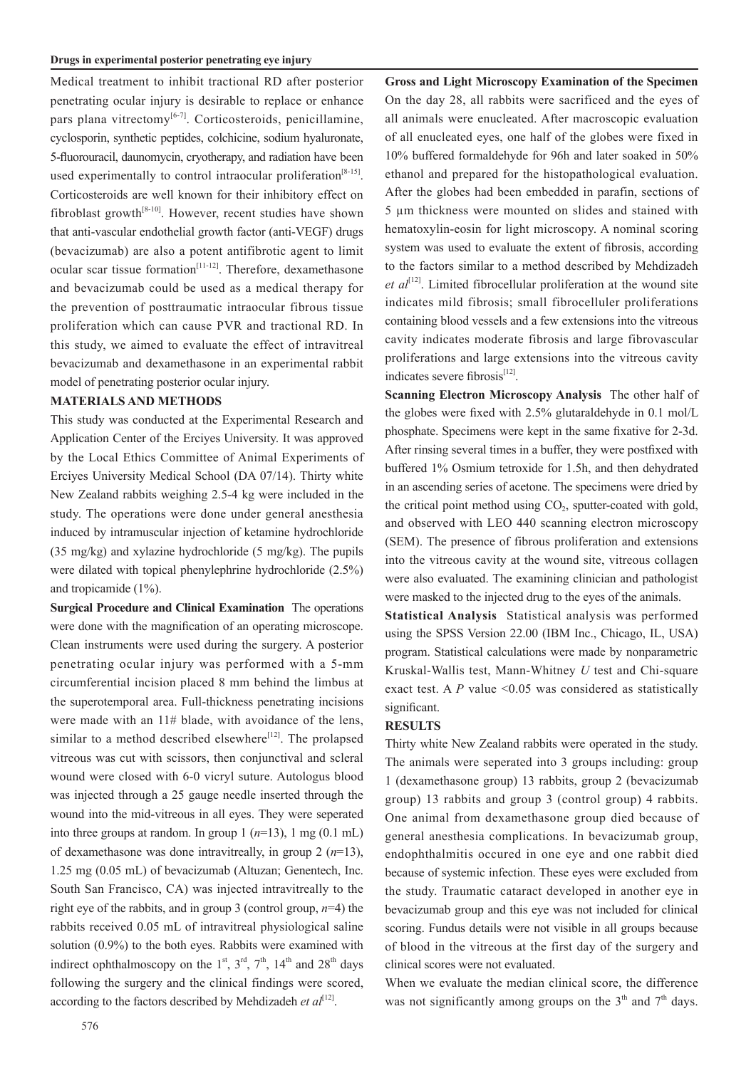Medical treatment to inhibit tractional RD after posterior penetrating ocular injury is desirable to replace or enhance pars plana vitrectomy<sup>[6-7]</sup>. Corticosteroids, penicillamine, cyclosporin, synthetic peptides, colchicine, sodium hyaluronate, 5-fluorouracil, daunomycin, cryotherapy, and radiation have been used experimentally to control intraocular proliferation<sup>[8-15]</sup>. Corticosteroids are well known for their inhibitory effect on fibroblast growth $[8-10]$ . However, recent studies have shown that anti-vascular endothelial growth factor (anti-VEGF) drugs (bevacizumab) are also a potent antifibrotic agent to limit ocular scar tissue formation<sup>[11-12]</sup>. Therefore, dexamethasone and bevacizumab could be used as a medical therapy for the prevention of posttraumatic intraocular fibrous tissue proliferation which can cause PVR and tractional RD. In this study, we aimed to evaluate the effect of intravitreal bevacizumab and dexamethasone in an experimental rabbit model of penetrating posterior ocular injury.

#### **MATERIALS AND METHODS**

This study was conducted at the Experimental Research and Application Center of the Erciyes University. It was approved by the Local Ethics Committee of Animal Experiments of Erciyes University Medical School (DA 07/14). Thirty white New Zealand rabbits weighing 2.5-4 kg were included in the study. The operations were done under general anesthesia induced by intramuscular injection of ketamine hydrochloride (35 mg/kg) and xylazine hydrochloride (5 mg/kg). The pupils were dilated with topical phenylephrine hydrochloride (2.5%) and tropicamide (1%).

**Surgical Procedure and Clinical Examination** The operations were done with the magnification of an operating microscope. Clean instruments were used during the surgery. A posterior penetrating ocular injury was performed with a 5-mm circumferential incision placed 8 mm behind the limbus at the superotemporal area. Full-thickness penetrating incisions were made with an 11# blade, with avoidance of the lens, similar to a method described elsewhere<sup>[12]</sup>. The prolapsed vitreous was cut with scissors, then conjunctival and scleral wound were closed with 6-0 vicryl suture. Autologus blood was injected through a 25 gauge needle inserted through the wound into the mid-vitreous in all eyes. They were seperated into three groups at random. In group  $1 (n=13)$ ,  $1 mg (0.1 mL)$ of dexamethasone was done intravitreally, in group 2 (*n*=13), 1.25 mg (0.05 mL) of bevacizumab (Altuzan; Genentech, Inc. South San Francisco, CA) was injected intravitreally to the right eye of the rabbits, and in group 3 (control group, *n*=4) the rabbits received 0.05 mL of intravitreal physiological saline solution (0.9%) to the both eyes. Rabbits were examined with indirect ophthalmoscopy on the  $1<sup>st</sup>$ ,  $3<sup>rd</sup>$ ,  $7<sup>th</sup>$ ,  $14<sup>th</sup>$  and  $28<sup>th</sup>$  days following the surgery and the clinical findings were scored, according to the factors described by Mehdizadeh *et*  $al^{[12]}$ .

**Gross and Light Microscopy Examination of the Specimen**  On the day 28, all rabbits were sacrificed and the eyes of all animals were enucleated. After macroscopic evaluation of all enucleated eyes, one half of the globes were fixed in 10% buffered formaldehyde for 96h and later soaked in 50% ethanol and prepared for the histopathological evaluation. After the globes had been embedded in parafin, sections of 5 µm thickness were mounted on slides and stained with hematoxylin-eosin for light microscopy. A nominal scoring system was used to evaluate the extent of fibrosis, according to the factors similar to a method described by Mehdizadeh *et al*<sup>[12]</sup>. Limited fibrocellular proliferation at the wound site indicates mild fibrosis; small fibrocelluler proliferations containing blood vessels and a few extensions into the vitreous cavity indicates moderate fibrosis and large fibrovascular proliferations and large extensions into the vitreous cavity indicates severe fibrosis<sup>[12]</sup>.

**Scanning Electron Microscopy Analysis** The other half of the globes were fixed with 2.5% glutaraldehyde in 0.1 mol/L phosphate. Specimens were kept in the same fixative for 2-3d. After rinsing several times in a buffer, they were postfixed with buffered 1% Osmium tetroxide for 1.5h, and then dehydrated in an ascending series of acetone. The specimens were dried by the critical point method using  $CO<sub>2</sub>$ , sputter-coated with gold, and observed with LEO 440 scanning electron microscopy (SEM). The presence of fibrous proliferation and extensions into the vitreous cavity at the wound site, vitreous collagen were also evaluated. The examining clinician and pathologist were masked to the injected drug to the eyes of the animals.

**Statistical Analysis** Statistical analysis was performed using the SPSS Version 22.00 (IBM Inc., Chicago, IL, USA) program. Statistical calculations were made by nonparametric Kruskal-Wallis test, Mann-Whitney *U* test and Chi-square exact test. A  $P$  value <0.05 was considered as statistically significant.

#### **RESULTS**

Thirty white New Zealand rabbits were operated in the study. The animals were seperated into 3 groups including: group 1 (dexamethasone group) 13 rabbits, group 2 (bevacizumab group) 13 rabbits and group 3 (control group) 4 rabbits. One animal from dexamethasone group died because of general anesthesia complications. In bevacizumab group, endophthalmitis occured in one eye and one rabbit died because of systemic infection. These eyes were excluded from the study. Traumatic cataract developed in another eye in bevacizumab group and this eye was not included for clinical scoring. Fundus details were not visible in all groups because of blood in the vitreous at the first day of the surgery and clinical scores were not evaluated.

When we evaluate the median clinical score, the difference was not significantly among groups on the  $3<sup>th</sup>$  and  $7<sup>th</sup>$  days.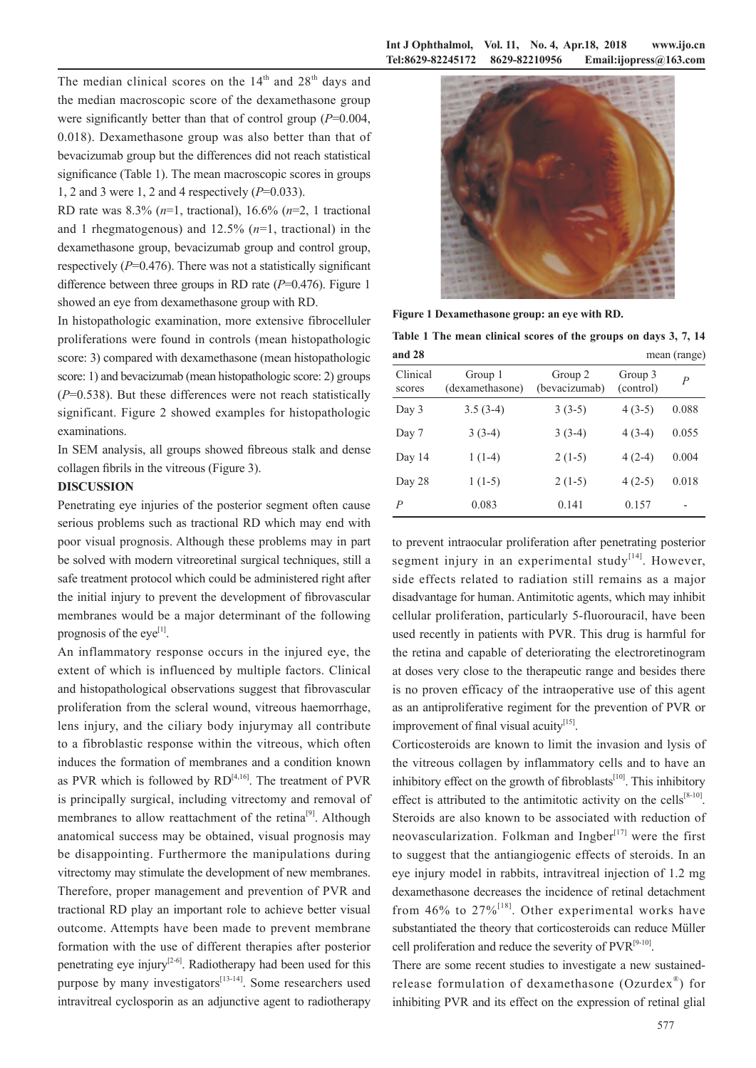The median clinical scores on the  $14<sup>th</sup>$  and  $28<sup>th</sup>$  days and the median macroscopic score of the dexamethasone group were significantly better than that of control group (*P*=0.004, 0.018). Dexamethasone group was also better than that of bevacizumab group but the differences did not reach statistical significance (Table 1). The mean macroscopic scores in groups 1, 2 and 3 were 1, 2 and 4 respectively (*P*=0.033).

RD rate was 8.3% (*n*=1, tractional), 16.6% (*n*=2, 1 tractional and 1 rhegmatogenous) and 12.5% (*n*=1, tractional) in the dexamethasone group, bevacizumab group and control group, respectively (*P*=0.476). There was not a statistically significant difference between three groups in RD rate (*P*=0.476). Figure 1 showed an eye from dexamethasone group with RD.

In histopathologic examination, more extensive fibrocelluler proliferations were found in controls (mean histopathologic score: 3) compared with dexamethasone (mean histopathologic score: 1) and bevacizumab (mean histopathologic score: 2) groups (*P*=0.538). But these differences were not reach statistically significant. Figure 2 showed examples for histopathologic examinations.

In SEM analysis, all groups showed fibreous stalk and dense collagen fibrils in the vitreous (Figure 3).

#### **DISCUSSION**

Penetrating eye injuries of the posterior segment often cause serious problems such as tractional RD which may end with poor visual prognosis. Although these problems may in part be solved with modern vitreoretinal surgical techniques, still a safe treatment protocol which could be administered right after the initial injury to prevent the development of fibrovascular membranes would be a major determinant of the following prognosis of the eye<sup>[1]</sup>.

An inflammatory response occurs in the injured eye, the extent of which is influenced by multiple factors. Clinical and histopathological observations suggest that fibrovascular proliferation from the scleral wound, vitreous haemorrhage, lens injury, and the ciliary body injurymay all contribute to a fibroblastic response within the vitreous, which often induces the formation of membranes and a condition known as PVR which is followed by  $RD^{[4,16]}$ . The treatment of PVR is principally surgical, including vitrectomy and removal of membranes to allow reattachment of the retina<sup>[9]</sup>. Although anatomical success may be obtained, visual prognosis may be disappointing. Furthermore the manipulations during vitrectomy may stimulate the development of new membranes. Therefore, proper management and prevention of PVR and tractional RD play an important role to achieve better visual outcome. Attempts have been made to prevent membrane formation with the use of different therapies after posterior penetrating eye injury<sup>[2-6]</sup>. Radiotherapy had been used for this purpose by many investigators<sup>[13-14]</sup>. Some researchers used intravitreal cyclosporin as an adjunctive agent to radiotherapy



**Figure 1 Dexamethasone group: an eye with RD.**

**Table 1 The mean clinical scores of the groups on days 3, 7, 14 and 28** mean (range)

|                    |                            |                          |                      | $\tilde{\phantom{a}}$ |
|--------------------|----------------------------|--------------------------|----------------------|-----------------------|
| Clinical<br>scores | Group 1<br>(dexamethasone) | Group 2<br>(bevacizumab) | Group 3<br>(control) | $\overline{P}$        |
| Day 3              | $3.5(3-4)$                 | $3(3-5)$                 | $4(3-5)$             | 0.088                 |
| Day 7              | $3(3-4)$                   | $3(3-4)$                 | $4(3-4)$             | 0.055                 |
| Day 14             | $1(1-4)$                   | $2(1-5)$                 | $4(2-4)$             | 0.004                 |
| Day 28             | $1(1-5)$                   | $2(1-5)$                 | $4(2-5)$             | 0.018                 |
| P                  | 0.083                      | 0.141                    | 0.157                | -                     |
|                    |                            |                          |                      |                       |

to prevent intraocular proliferation after penetrating posterior segment injury in an experimental study $[14]$ . However, side effects related to radiation still remains as a major disadvantage for human. Antimitotic agents, which may inhibit cellular proliferation, particularly 5-fluorouracil, have been used recently in patients with PVR. This drug is harmful for the retina and capable of deteriorating the electroretinogram at doses very close to the therapeutic range and besides there is no proven efficacy of the intraoperative use of this agent as an antiproliferative regiment for the prevention of PVR or improvement of final visual acuity $^{[15]}$ .

Corticosteroids are known to limit the invasion and lysis of the vitreous collagen by inflammatory cells and to have an inhibitory effect on the growth of fibroblasts $[10]$ . This inhibitory effect is attributed to the antimitotic activity on the cells<sup>[8-10]</sup>. Steroids are also known to be associated with reduction of neovascularization. Folkman and Ingber $[17]$  were the first to suggest that the antiangiogenic effects of steroids. In an eye injury model in rabbits, intravitreal injection of 1.2 mg dexamethasone decreases the incidence of retinal detachment from 46% to  $27\%$ <sup>[18]</sup>. Other experimental works have substantiated the theory that corticosteroids can reduce Müller cell proliferation and reduce the severity of  $PVR^{[9-10]}$ .

There are some recent studies to investigate a new sustainedrelease formulation of dexamethasone (Ozurdex®) for inhibiting PVR and its effect on the expression of retinal glial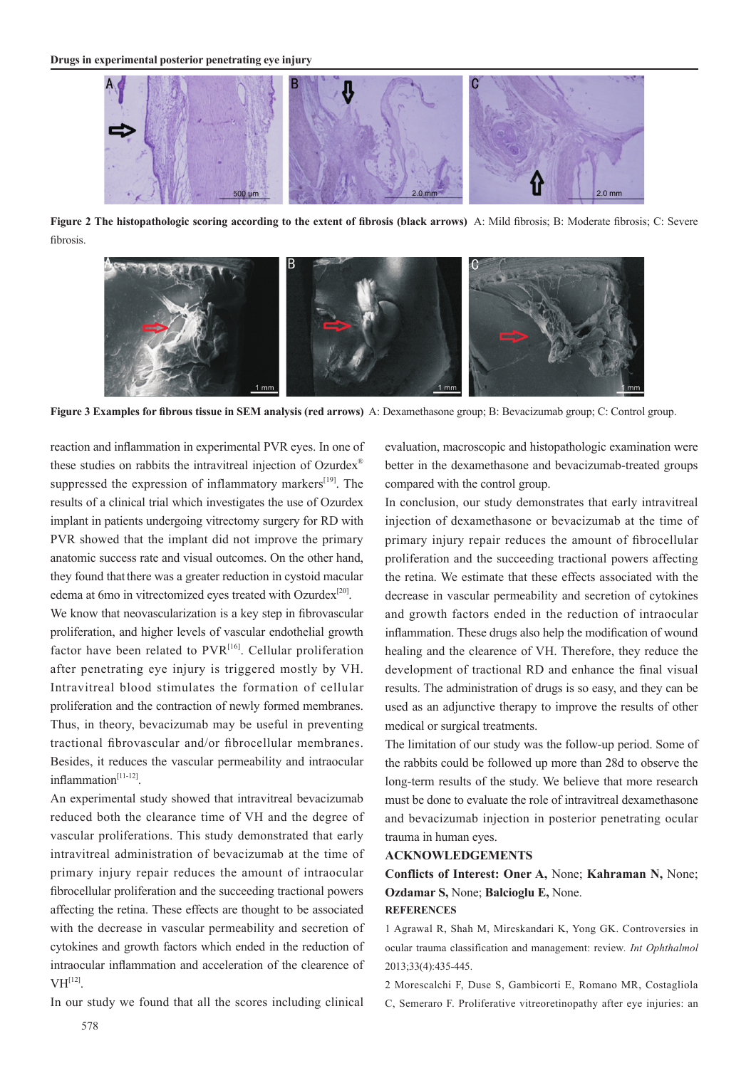

**Figure 2 The histopathologic scoring according to the extent of fibrosis (black arrows)** A: Mild fibrosis; B: Moderate fibrosis; C: Severe fibrosis.



**Figure 3 Examples for fibrous tissue in SEM analysis (red arrows)** A: Dexamethasone group; B: Bevacizumab group; C: Control group.

reaction and inflammation in experimental PVR eyes. In one of these studies on rabbits the intravitreal injection of Ozurdex® suppressed the expression of inflammatory markers<sup>[19]</sup>. The results of a clinical trial which investigates the use of Ozurdex implant in patients undergoing vitrectomy surgery for RD with PVR showed that the implant did not improve the primary anatomic success rate and visual outcomes. On the other hand, they found that there was a greater reduction in cystoid macular edema at 6mo in vitrectomized eyes treated with Ozurdex<sup>[20]</sup>.

We know that neovascularization is a key step in fibrovascular proliferation, and higher levels of vascular endothelial growth factor have been related to  $PVR^{[16]}$ . Cellular proliferation after penetrating eye injury is triggered mostly by VH. Intravitreal blood stimulates the formation of cellular proliferation and the contraction of newly formed membranes. Thus, in theory, bevacizumab may be useful in preventing tractional fibrovascular and/or fibrocellular membranes. Besides, it reduces the vascular permeability and intraocular inflammation<sup>[11-12]</sup>.

An experimental study showed that intravitreal bevacizumab reduced both the clearance time of VH and the degree of vascular proliferations. This study demonstrated that early intravitreal administration of bevacizumab at the time of primary injury repair reduces the amount of intraocular fibrocellular proliferation and the succeeding tractional powers affecting the retina. These effects are thought to be associated with the decrease in vascular permeability and secretion of cytokines and growth factors which ended in the reduction of intraocular inflammation and acceleration of the clearence of  $VH^{[12]}$ 

In our study we found that all the scores including clinical

evaluation, macroscopic and histopathologic examination were better in the dexamethasone and bevacizumab-treated groups compared with the control group.

In conclusion, our study demonstrates that early intravitreal injection of dexamethasone or bevacizumab at the time of primary injury repair reduces the amount of fibrocellular proliferation and the succeeding tractional powers affecting the retina. We estimate that these effects associated with the decrease in vascular permeability and secretion of cytokines and growth factors ended in the reduction of intraocular inflammation. These drugs also help the modification of wound healing and the clearence of VH. Therefore, they reduce the development of tractional RD and enhance the final visual results. The administration of drugs is so easy, and they can be used as an adjunctive therapy to improve the results of other medical or surgical treatments.

The limitation of our study was the follow-up period. Some of the rabbits could be followed up more than 28d to observe the long-term results of the study. We believe that more research must be done to evaluate the role of intravitreal dexamethasone and bevacizumab injection in posterior penetrating ocular trauma in human eyes.

#### **ACKNOWLEDGEMENTS**

**Conflicts of Interest: Oner A,** None; **Kahraman N,** None; **Ozdamar S,** None; **Balcioglu E,** None. **REFERENCES**

1 Agrawal R, Shah M, Mireskandari K, Yong GK. Controversies in ocular trauma classification and management: review*. Int Ophthalmol* 2013;33(4):435-445.

2 Morescalchi F, Duse S, Gambicorti E, Romano MR, Costagliola C, Semeraro F. Proliferative vitreoretinopathy after eye injuries: an